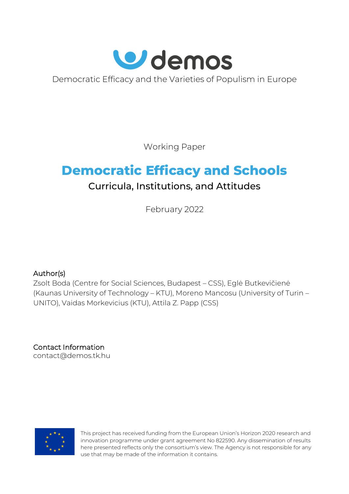

Democratic Efficacy and the Varieties of Populism in Europe

Working Paper

# **Democratic Efficacy and Schools**

# Curricula, Institutions, and Attitudes

February 2022

# Author(s)

Zsolt Boda (Centre for Social Sciences, Budapest – CSS), Eglė Butkevičienė (Kaunas University of Technology – KTU), Moreno Mancosu (University of Turin – UNITO), Vaidas Morkevicius (KTU), Attila Z. Papp (CSS)

Contact Information [contact@demos.tk.hu](mailto:contact@demos.tk.hu)



This project has received funding from the European Union's Horizon 2020 research and innovation programme under grant agreement No 822590. Any dissemination of results here presented reflects only the consortium's view. The Agency is not responsible for any use that may be made of the information it contains.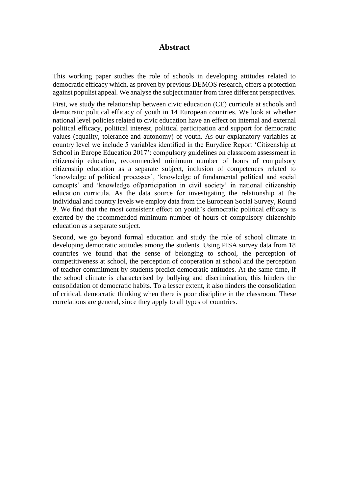#### **Abstract**

This working paper studies the role of schools in developing attitudes related to democratic efficacy which, as proven by previous DEMOS research, offers a protection against populist appeal. We analyse the subject matter from three different perspectives.

First, we study the relationship between civic education (CE) curricula at schools and democratic political efficacy of youth in 14 European countries. We look at whether national level policies related to civic education have an effect on internal and external political efficacy, political interest, political participation and support for democratic values (equality, tolerance and autonomy) of youth. As our explanatory variables at country level we include 5 variables identified in the Eurydice Report 'Citizenship at School in Europe Education 2017': compulsory guidelines on classroom assessment in citizenship education, recommended minimum number of hours of compulsory citizenship education as a separate subject, inclusion of competences related to 'knowledge of political processes', 'knowledge of fundamental political and social concepts' and 'knowledge of/participation in civil society' in national citizenship education curricula. As the data source for investigating the relationship at the individual and country levels we employ data from the European Social Survey, Round 9. We find that the most consistent effect on youth's democratic political efficacy is exerted by the recommended minimum number of hours of compulsory citizenship education as a separate subject.

Second, we go beyond formal education and study the role of school climate in developing democratic attitudes among the students. Using PISA survey data from 18 countries we found that the sense of belonging to school, the perception of competitiveness at school, the perception of cooperation at school and the perception of teacher commitment by students predict democratic attitudes. At the same time, if the school climate is characterised by bullying and discrimination, this hinders the consolidation of democratic habits. To a lesser extent, it also hinders the consolidation of critical, democratic thinking when there is poor discipline in the classroom. These correlations are general, since they apply to all types of countries.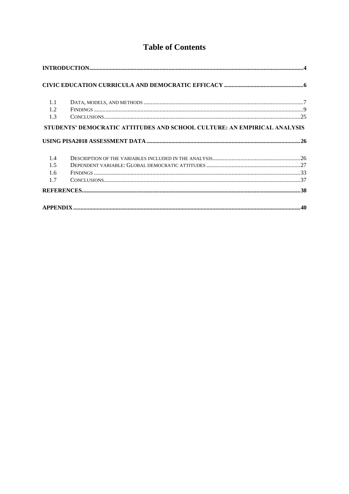# **Table of Contents**

| 1.1 |                                                                          |  |
|-----|--------------------------------------------------------------------------|--|
| 1.2 |                                                                          |  |
| 1.3 |                                                                          |  |
|     | STUDENTS' DEMOCRATIC ATTITUDES AND SCHOOL CULTURE: AN EMPIRICAL ANALYSIS |  |
| 1.4 |                                                                          |  |
| 1.5 |                                                                          |  |
| 1.6 |                                                                          |  |
| 1.7 |                                                                          |  |
|     |                                                                          |  |
|     |                                                                          |  |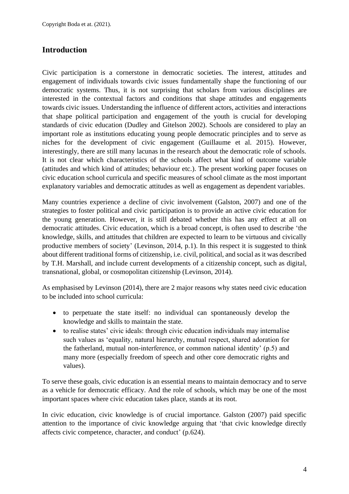# <span id="page-3-0"></span>**Introduction**

Civic participation is a cornerstone in democratic societies. The interest, attitudes and engagement of individuals towards civic issues fundamentally shape the functioning of our democratic systems. Thus, it is not surprising that scholars from various disciplines are interested in the contextual factors and conditions that shape attitudes and engagements towards civic issues. Understanding the influence of different actors, activities and interactions that shape political participation and engagement of the youth is crucial for developing standards of civic education (Dudley and Gitelson 2002). Schools are considered to play an important role as institutions educating young people democratic principles and to serve as niches for the development of civic engagement (Guillaume et al. 2015). However, interestingly, there are still many lacunas in the research about the democratic role of schools. It is not clear which characteristics of the schools affect what kind of outcome variable (attitudes and which kind of attitudes; behaviour etc.). The present working paper focuses on civic education school curricula and specific measures of school climate as the most important explanatory variables and democratic attitudes as well as engagement as dependent variables.

Many countries experience a decline of civic involvement (Galston, 2007) and one of the strategies to foster political and civic participation is to provide an active civic education for the young generation. However, it is still debated whether this has any effect at all on democratic attitudes. Civic education, which is a broad concept, is often used to describe 'the knowledge, skills, and attitudes that children are expected to learn to be virtuous and civically productive members of society' (Levinson, 2014, p.1). In this respect it is suggested to think about different traditional forms of citizenship, i.e. civil, political, and social as it was described by T.H. Marshall, and include current developments of a citizenship concept, such as digital, transnational, global, or cosmopolitan citizenship (Levinson, 2014).

As emphasised by Levinson (2014), there are 2 major reasons why states need civic education to be included into school curricula:

- to perpetuate the state itself: no individual can spontaneously develop the knowledge and skills to maintain the state.
- to realise states' civic ideals: through civic education individuals may internalise such values as 'equality, natural hierarchy, mutual respect, shared adoration for the fatherland, mutual non-interference, or common national identity' (p.5) and many more (especially freedom of speech and other core democratic rights and values).

To serve these goals, civic education is an essential means to maintain democracy and to serve as a vehicle for democratic efficacy. And the role of schools, which may be one of the most important spaces where civic education takes place, stands at its root.

In civic education, civic knowledge is of crucial importance. Galston (2007) paid specific attention to the importance of civic knowledge arguing that 'that civic knowledge directly affects civic competence, character, and conduct' (p.624).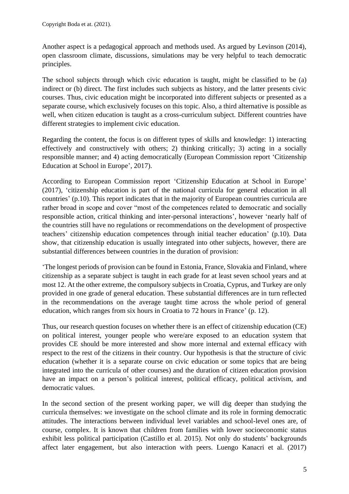Another aspect is a pedagogical approach and methods used. As argued by Levinson (2014), open classroom climate, discussions, simulations may be very helpful to teach democratic principles.

The school subjects through which civic education is taught, might be classified to be (a) indirect or (b) direct. The first includes such subjects as history, and the latter presents civic courses. Thus, civic education might be incorporated into different subjects or presented as a separate course, which exclusively focuses on this topic. Also, a third alternative is possible as well, when citizen education is taught as a cross-curriculum subject. Different countries have different strategies to implement civic education.

Regarding the content, the focus is on different types of skills and knowledge: 1) interacting effectively and constructively with others; 2) thinking critically; 3) acting in a socially responsible manner; and 4) acting democratically (European Commission report 'Citizenship Education at School in Europe', 2017).

According to European Commission report 'Citizenship Education at School in Europe' (2017), 'citizenship education is part of the national curricula for general education in all countries' (p.10). This report indicates that in the majority of European countries curricula are rather broad in scope and cover "most of the competences related to democratic and socially responsible action, critical thinking and inter-personal interactions', however 'nearly half of the countries still have no regulations or recommendations on the development of prospective teachers' citizenship education competences through initial teacher education' (p.10). Data show, that citizenship education is usually integrated into other subjects, however, there are substantial differences between countries in the duration of provision:

'The longest periods of provision can be found in Estonia, France, Slovakia and Finland, where citizenship as a separate subject is taught in each grade for at least seven school years and at most 12. At the other extreme, the compulsory subjects in Croatia, Cyprus, and Turkey are only provided in one grade of general education. These substantial differences are in turn reflected in the recommendations on the average taught time across the whole period of general education, which ranges from six hours in Croatia to 72 hours in France' (p. 12).

Thus, our research question focuses on whether there is an effect of citizenship education (CE) on political interest, younger people who were/are exposed to an education system that provides CE should be more interested and show more internal and external efficacy with respect to the rest of the citizens in their country. Our hypothesis is that the structure of civic education (whether it is a separate course on civic education or some topics that are being integrated into the curricula of other courses) and the duration of citizen education provision have an impact on a person's political interest, political efficacy, political activism, and democratic values.

In the second section of the present working paper, we will dig deeper than studying the curricula themselves: we investigate on the school climate and its role in forming democratic attitudes. The interactions between individual level variables and school-level ones are, of course, complex. It is known that children from families with lower socioeconomic status exhibit less political participation (Castillo et al. 2015). Not only do students' backgrounds affect later engagement, but also interaction with peers. Luengo Kanacri et al. (2017)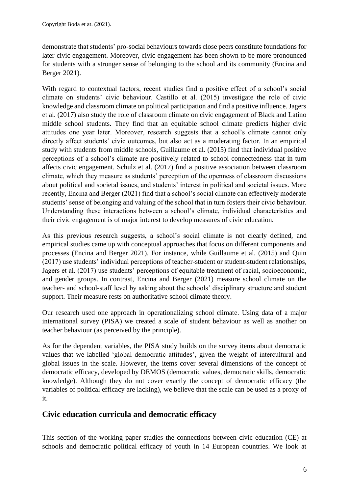demonstrate that students' pro-social behaviours towards close peers constitute foundations for later civic engagement. Moreover, civic engagement has been shown to be more pronounced for students with a stronger sense of belonging to the school and its community (Encina and Berger 2021).

With regard to contextual factors, recent studies find a positive effect of a school's social climate on students' civic behaviour. Castillo et al. (2015) investigate the role of civic knowledge and classroom climate on political participation and find a positive influence. Jagers et al. (2017) also study the role of classroom climate on civic engagement of Black and Latino middle school students. They find that an equitable school climate predicts higher civic attitudes one year later. Moreover, research suggests that a school's climate cannot only directly affect students' civic outcomes, but also act as a moderating factor. In an empirical study with students from middle schools, Guillaume et al. (2015) find that individual positive perceptions of a school's climate are positively related to school connectedness that in turn affects civic engagement. Schulz et al. (2017) find a positive association between classroom climate, which they measure as students' perception of the openness of classroom discussions about political and societal issues, and students' interest in political and societal issues. More recently, Encina and Berger (2021) find that a school's social climate can effectively moderate students' sense of belonging and valuing of the school that in turn fosters their civic behaviour. Understanding these interactions between a school's climate, individual characteristics and their civic engagement is of major interest to develop measures of civic education.

As this previous research suggests, a school's social climate is not clearly defined, and empirical studies came up with conceptual approaches that focus on different components and processes (Encina and Berger 2021). For instance, while Guillaume et al. (2015) and Quin (2017) use students' individual perceptions of teacher-student or student-student relationships, Jagers et al. (2017) use students' perceptions of equitable treatment of racial, socioeconomic, and gender groups. In contrast, Encina and Berger (2021) measure school climate on the teacher- and school-staff level by asking about the schools' disciplinary structure and student support. Their measure rests on authoritative school climate theory.

Our research used one approach in operationalizing school climate. Using data of a major international survey (PISA) we created a scale of student behaviour as well as another on teacher behaviour (as perceived by the principle).

As for the dependent variables, the PISA study builds on the survey items about democratic values that we labelled 'global democratic attitudes', given the weight of intercultural and global issues in the scale. However, the items cover several dimensions of the concept of democratic efficacy, developed by DEMOS (democratic values, democratic skills, democratic knowledge). Although they do not cover exactly the concept of democratic efficacy (the variables of political efficacy are lacking), we believe that the scale can be used as a proxy of it.

# <span id="page-5-0"></span>**Civic education curricula and democratic efficacy**

This section of the working paper studies the connections between civic education (CE) at schools and democratic political efficacy of youth in 14 European countries. We look at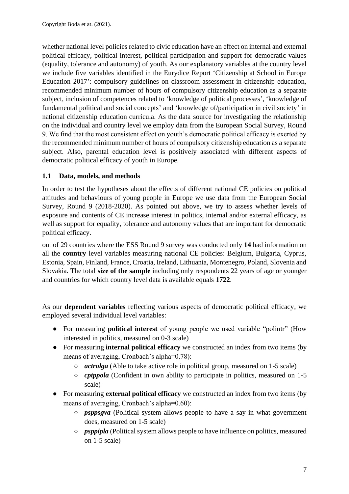whether national level policies related to civic education have an effect on internal and external political efficacy, political interest, political participation and support for democratic values (equality, tolerance and autonomy) of youth. As our explanatory variables at the country level we include five variables identified in the Eurydice Report 'Citizenship at School in Europe Education 2017': compulsory guidelines on classroom assessment in citizenship education, recommended minimum number of hours of compulsory citizenship education as a separate subject, inclusion of competences related to 'knowledge of political processes', 'knowledge of fundamental political and social concepts' and 'knowledge of/participation in civil society' in national citizenship education curricula. As the data source for investigating the relationship on the individual and country level we employ data from the European Social Survey, Round 9. We find that the most consistent effect on youth's democratic political efficacy is exerted by the recommended minimum number of hours of compulsory citizenship education as a separate subject. Also, parental education level is positively associated with different aspects of democratic political efficacy of youth in Europe.

# <span id="page-6-0"></span>**1.1 Data, models, and methods**

In order to test the hypotheses about the effects of different national CE policies on political attitudes and behaviours of young people in Europe we use data from the European Social Survey, Round 9 (2018-2020). As pointed out above, we try to assess whether levels of exposure and contents of CE increase interest in politics, internal and/or external efficacy, as well as support for equality, tolerance and autonomy values that are important for democratic political efficacy.

out of 29 countries where the ESS Round 9 survey was conducted only **14** had information on all the **country** level variables measuring national CE policies: Belgium, Bulgaria, Cyprus, Estonia, Spain, Finland, France, Croatia, Ireland, Lithuania, Montenegro, Poland, Slovenia and Slovakia. The total **size of the sample** including only respondents 22 years of age or younger and countries for which country level data is available equals **1722**.

As our **dependent variables** reflecting various aspects of democratic political efficacy, we employed several individual level variables:

- For measuring **political interest** of young people we used variable "polintr" (How interested in politics, measured on 0-3 scale)
- For measuring **internal political efficacy** we constructed an index from two items (by means of averaging, Cronbach's alpha=0.78):
	- *actrolga* (Able to take active role in political group, measured on 1-5 scale)
	- *cptppola* (Confident in own ability to participate in politics, measured on 1-5 scale)
- For measuring **external political efficacy** we constructed an index from two items (by means of averaging, Cronbach's alpha=0.60):
	- *psppsgva* (Political system allows people to have a say in what government does, measured on 1-5 scale)
	- *psppipla* (Political system allows people to have influence on politics, measured on 1-5 scale)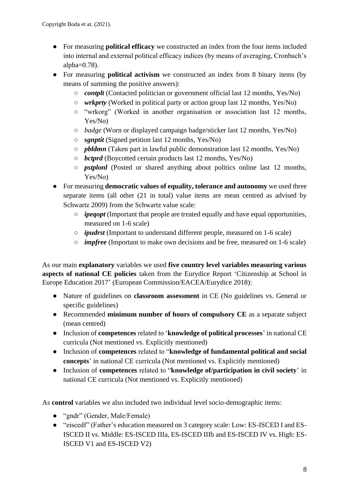- For measuring **political efficacy** we constructed an index from the four items included into internal and external political efficacy indices (by means of averaging, Cronbach's alpha $=0.78$ ).
- For measuring **political activism** we constructed an index from 8 binary items (by means of summing the positive answers):
	- *contplt* (Contacted politician or government official last 12 months, Yes/No)
	- *wrkprty* (Worked in political party or action group last 12 months, Yes/No)
	- "wrkorg" (Worked in another organisation or association last 12 months, Yes/No)
	- *badge* (Worn or displayed campaign badge/sticker last 12 months, Yes/No)
	- *sgnptit* (Signed petition last 12 months, Yes/No)
	- *pbldmn* (Taken part in lawful public demonstration last 12 months, Yes/No)
	- *bctprd* (Boycotted certain products last 12 months, Yes/No)
	- *pstplonl* (Posted or shared anything about politics online last 12 months, Yes/No)
- For measuring **democratic values of equality, tolerance and autonomy** we used three separate items (all other (21 in total) value items are mean centred as advised by Schwartz 2009) from the Schwartz value scale:
	- *ipeqopt* (Important that people are treated equally and have equal opportunities, measured on 1-6 scale)
	- *ipudrst* (Important to understand different people, measured on 1-6 scale)
	- *impfree* (Important to make own decisions and be free, measured on 1-6 scale)

As our main **explanatory** variables we used **five country level variables measuring various aspects of national CE policies** taken from the Eurydice Report 'Citizenship at School in Europe Education 2017' (European Commission/EACEA/Eurydice 2018):

- Nature of guidelines on **classroom assessment** in CE (No guidelines vs. General or specific guidelines)
- Recommended **minimum number of hours of compulsory CE** as a separate subject (mean centred)
- Inclusion of **competences** related to '**knowledge of political processes**' in national CE curricula (Not mentioned vs. Explicitly mentioned)
- Inclusion of **competences** related to "**knowledge of fundamental political and social concepts**' in national CE curricula (Not mentioned vs. Explicitly mentioned)
- Inclusion of **competences** related to "**knowledge of/participation in civil society**' in national CE curricula (Not mentioned vs. Explicitly mentioned)

As **control** variables we also included two individual level socio-demographic items:

- "gndr" (Gender, Male/Female)
- "eiscedf" (Father's education measured on 3 category scale: Low: ES-ISCED I and ES-ISCED II vs. Middle: ES-ISCED IIIa, ES-ISCED IIIb and ES-ISCED IV vs. High: ES-ISCED V1 and ES-ISCED V2)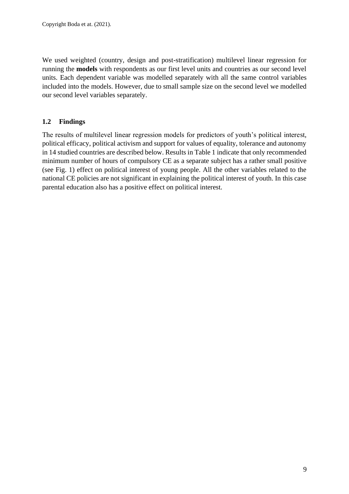We used weighted (country, design and post-stratification) multilevel linear regression for running the **models** with respondents as our first level units and countries as our second level units. Each dependent variable was modelled separately with all the same control variables included into the models. However, due to small sample size on the second level we modelled our second level variables separately.

## <span id="page-8-0"></span>**1.2 Findings**

The results of multilevel linear regression models for predictors of youth's political interest, political efficacy, political activism and support for values of equality, tolerance and autonomy in 14 studied countries are described below. Results in Table 1 indicate that only recommended minimum number of hours of compulsory CE as a separate subject has a rather small positive (see Fig. 1) effect on political interest of young people. All the other variables related to the national CE policies are not significant in explaining the political interest of youth. In this case parental education also has a positive effect on political interest.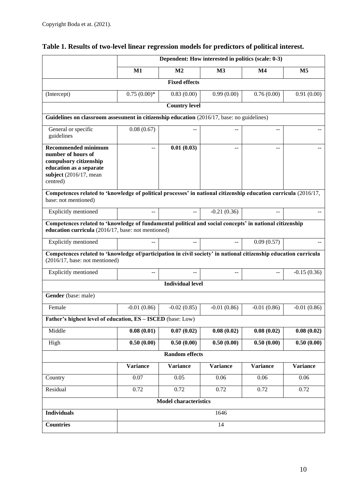|                                                                                                                                                               | Dependent: How interested in politics (scale: 0-3) |                              |                 |                |                 |  |  |  |
|---------------------------------------------------------------------------------------------------------------------------------------------------------------|----------------------------------------------------|------------------------------|-----------------|----------------|-----------------|--|--|--|
|                                                                                                                                                               | M1                                                 | M <sub>2</sub>               | M3              | M <sub>4</sub> | M <sub>5</sub>  |  |  |  |
|                                                                                                                                                               | <b>Fixed effects</b>                               |                              |                 |                |                 |  |  |  |
| (Intercept)                                                                                                                                                   | $0.75(0.00)*$                                      | 0.83(0.00)                   | 0.99(0.00)      | 0.76(0.00)     | 0.91(0.00)      |  |  |  |
|                                                                                                                                                               |                                                    | <b>Country level</b>         |                 |                |                 |  |  |  |
| Guidelines on classroom assessment in citizenship education (2016/17, base: no guidelines)                                                                    |                                                    |                              |                 |                |                 |  |  |  |
| General or specific<br>guidelines                                                                                                                             | 0.08(0.67)                                         |                              |                 | --             |                 |  |  |  |
| <b>Recommended minimum</b><br>number of hours of<br>compulsory citizenship<br>education as a separate<br>subject $(2016/17, \text{mean})$<br>centred)         | $-$                                                | 0.01(0.03)                   | $\sim$          | $-1$           |                 |  |  |  |
| Competences related to 'knowledge of political processes' in national citizenship education curricula (2016/17,<br>base: not mentioned)                       |                                                    |                              |                 |                |                 |  |  |  |
| Explicitly mentioned                                                                                                                                          | $-$                                                | $\overline{a}$               | $-0.21(0.36)$   |                |                 |  |  |  |
| Competences related to 'knowledge of fundamental political and social concepts' in national citizenship<br>education curricula (2016/17, base: not mentioned) |                                                    |                              |                 |                |                 |  |  |  |
| Explicitly mentioned                                                                                                                                          | $-$                                                | --                           |                 | 0.09(0.57)     |                 |  |  |  |
| Competences related to 'knowledge of/participation in civil society' in national citizenship education curricula<br>$(2016/17, \text{base: not mentioned})$   |                                                    |                              |                 |                |                 |  |  |  |
| Explicitly mentioned                                                                                                                                          |                                                    |                              |                 |                | $-0.15(0.36)$   |  |  |  |
|                                                                                                                                                               |                                                    | <b>Individual level</b>      |                 |                |                 |  |  |  |
| Gender (base: male)                                                                                                                                           |                                                    |                              |                 |                |                 |  |  |  |
| Female                                                                                                                                                        | $-0.01(0.86)$                                      | $-0.02(0.85)$                | $-0.01(0.86)$   | $-0.01(0.86)$  | $-0.01(0.86)$   |  |  |  |
| Father's highest level of education, ES - ISCED (base: Low)                                                                                                   |                                                    |                              |                 |                |                 |  |  |  |
| Middle                                                                                                                                                        | 0.08(0.01)                                         | 0.07(0.02)                   | 0.08(0.02)      | 0.08(0.02)     | 0.08(0.02)      |  |  |  |
| High                                                                                                                                                          | 0.50(0.00)                                         | 0.50(0.00)                   | 0.50(0.00)      | 0.50(0.00)     | 0.50(0.00)      |  |  |  |
|                                                                                                                                                               |                                                    | <b>Random effects</b>        |                 |                |                 |  |  |  |
|                                                                                                                                                               | <b>Variance</b>                                    | <b>Variance</b>              | <b>Variance</b> | Variance       | <b>Variance</b> |  |  |  |
| Country                                                                                                                                                       | 0.07                                               | 0.05                         | 0.06            | 0.06           | 0.06            |  |  |  |
| Residual                                                                                                                                                      | 0.72                                               | 0.72                         | 0.72            | 0.72           | 0.72            |  |  |  |
|                                                                                                                                                               |                                                    | <b>Model characteristics</b> |                 |                |                 |  |  |  |
| <b>Individuals</b>                                                                                                                                            |                                                    |                              | 1646            |                |                 |  |  |  |
| <b>Countries</b>                                                                                                                                              |                                                    |                              | 14              |                |                 |  |  |  |

# **Table 1. Results of two-level linear regression models for predictors of political interest.**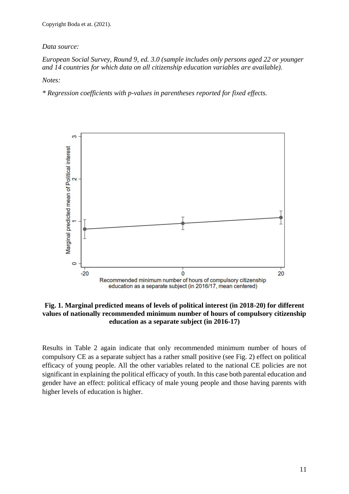#### *Data source:*

#### *European Social Survey, Round 9, ed. 3.0 (sample includes only persons aged 22 or younger and 14 countries for which data on all citizenship education variables are available).*

*Notes:*

*\* Regression coefficients with p-values in parentheses reported for fixed effects.*



**Fig. 1. Marginal predicted means of levels of political interest (in 2018-20) for different values of nationally recommended minimum number of hours of compulsory citizenship education as a separate subject (in 2016-17)**

Results in Table 2 again indicate that only recommended minimum number of hours of compulsory CE as a separate subject has a rather small positive (see Fig. 2) effect on political efficacy of young people. All the other variables related to the national CE policies are not significant in explaining the political efficacy of youth. In this case both parental education and gender have an effect: political efficacy of male young people and those having parents with higher levels of education is higher.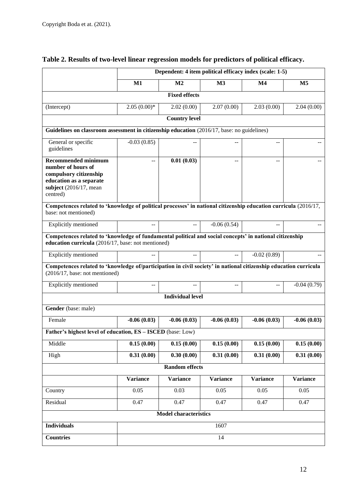|                                                                                                                                                               | Dependent: 4 item political efficacy index (scale: 1-5) |                              |                 |                 |                 |  |
|---------------------------------------------------------------------------------------------------------------------------------------------------------------|---------------------------------------------------------|------------------------------|-----------------|-----------------|-----------------|--|
|                                                                                                                                                               | M1                                                      | M <sub>2</sub>               | M <sub>3</sub>  | M <sub>4</sub>  | M <sub>5</sub>  |  |
|                                                                                                                                                               |                                                         | <b>Fixed effects</b>         |                 |                 |                 |  |
| (Intercept)                                                                                                                                                   | $2.05(0.00)*$                                           | 2.02(0.00)                   | 2.07(0.00)      | 2.03(0.00)      | 2.04(0.00)      |  |
|                                                                                                                                                               |                                                         | <b>Country level</b>         |                 |                 |                 |  |
| Guidelines on classroom assessment in citizenship education (2016/17, base: no guidelines)                                                                    |                                                         |                              |                 |                 |                 |  |
| General or specific<br>guidelines                                                                                                                             | $-0.03(0.85)$                                           |                              |                 |                 |                 |  |
| <b>Recommended minimum</b><br>number of hours of<br>compulsory citizenship<br>education as a separate<br>subject $(2016/17, \text{mean})$<br>centred)         |                                                         | 0.01(0.03)                   |                 |                 |                 |  |
| Competences related to 'knowledge of political processes' in national citizenship education curricula (2016/17,<br>base: not mentioned)                       |                                                         |                              |                 |                 |                 |  |
| <b>Explicitly mentioned</b>                                                                                                                                   | $\overline{a}$                                          | --                           | $-0.06(0.54)$   |                 |                 |  |
| Competences related to 'knowledge of fundamental political and social concepts' in national citizenship<br>education curricula (2016/17, base: not mentioned) |                                                         |                              |                 |                 |                 |  |
| Explicitly mentioned                                                                                                                                          |                                                         | $-$                          | $-$             | $-0.02(0.89)$   |                 |  |
| Competences related to 'knowledge of/participation in civil society' in national citizenship education curricula<br>$(2016/17, \text{base: not mentioned})$   |                                                         |                              |                 |                 |                 |  |
| Explicitly mentioned                                                                                                                                          | $-$                                                     | $-$                          | $-$             | $-$             | $-0.04(0.79)$   |  |
|                                                                                                                                                               |                                                         | <b>Individual level</b>      |                 |                 |                 |  |
| Gender (base: male)                                                                                                                                           |                                                         |                              |                 |                 |                 |  |
| Female                                                                                                                                                        | $-0.06(0.03)$                                           | $-0.06(0.03)$                | $-0.06(0.03)$   | $-0.06(0.03)$   | $-0.06(0.03)$   |  |
| Father's highest level of education, ES - ISCED (base: Low)                                                                                                   |                                                         |                              |                 |                 |                 |  |
| Middle                                                                                                                                                        | 0.15(0.00)                                              | 0.15(0.00)                   | 0.15(0.00)      | 0.15(0.00)      | 0.15(0.00)      |  |
| High                                                                                                                                                          | 0.31(0.00)                                              | 0.30(0.00)                   | 0.31(0.00)      | 0.31(0.00)      | 0.31(0.00)      |  |
|                                                                                                                                                               |                                                         | <b>Random</b> effects        |                 |                 |                 |  |
|                                                                                                                                                               | <b>Variance</b>                                         | <b>Variance</b>              | <b>Variance</b> | <b>Variance</b> | <b>Variance</b> |  |
| Country                                                                                                                                                       | 0.05                                                    | 0.03                         | 0.05            | 0.05            | 0.05            |  |
| Residual                                                                                                                                                      | 0.47                                                    | 0.47                         | 0.47            | 0.47            | 0.47            |  |
|                                                                                                                                                               |                                                         | <b>Model characteristics</b> |                 |                 |                 |  |
| <b>Individuals</b>                                                                                                                                            |                                                         |                              | 1607            |                 |                 |  |
| <b>Countries</b>                                                                                                                                              |                                                         |                              | $\overline{14}$ |                 |                 |  |

# **Table 2. Results of two-level linear regression models for predictors of political efficacy.**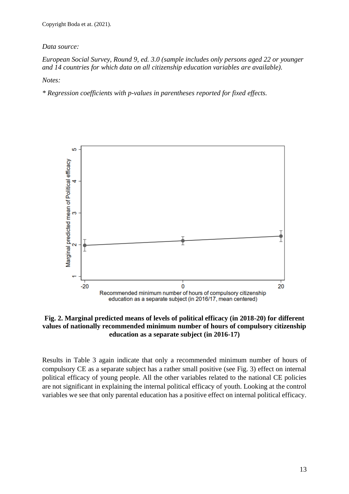#### *Data source:*

*European Social Survey, Round 9, ed. 3.0 (sample includes only persons aged 22 or younger and 14 countries for which data on all citizenship education variables are available).*

*Notes:*

*\* Regression coefficients with p-values in parentheses reported for fixed effects.*



**Fig. 2. Marginal predicted means of levels of political efficacy (in 2018-20) for different values of nationally recommended minimum number of hours of compulsory citizenship education as a separate subject (in 2016-17)**

Results in Table 3 again indicate that only a recommended minimum number of hours of compulsory CE as a separate subject has a rather small positive (see Fig. 3) effect on internal political efficacy of young people. All the other variables related to the national CE policies are not significant in explaining the internal political efficacy of youth. Looking at the control variables we see that only parental education has a positive effect on internal political efficacy.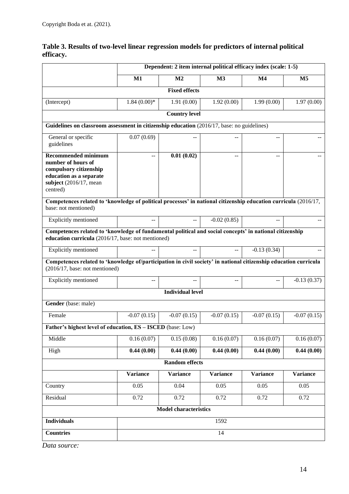|                                                                                                                                                               | Dependent: 2 item internal political efficacy index (scale: 1-5) |                              |                 |                 |                 |  |  |
|---------------------------------------------------------------------------------------------------------------------------------------------------------------|------------------------------------------------------------------|------------------------------|-----------------|-----------------|-----------------|--|--|
|                                                                                                                                                               | $M1$                                                             | M <sub>2</sub>               | M <sub>3</sub>  | $\mathbf{M}4$   | M <sub>5</sub>  |  |  |
| <b>Fixed effects</b>                                                                                                                                          |                                                                  |                              |                 |                 |                 |  |  |
| (Intercept)                                                                                                                                                   | $1.84(0.00)*$                                                    | 1.91(0.00)                   | 1.92(0.00)      | 1.99(0.00)      | 1.97(0.00)      |  |  |
|                                                                                                                                                               |                                                                  | <b>Country level</b>         |                 |                 |                 |  |  |
| Guidelines on classroom assessment in citizenship education (2016/17, base: no guidelines)                                                                    |                                                                  |                              |                 |                 |                 |  |  |
| General or specific<br>guidelines                                                                                                                             | 0.07(0.69)                                                       |                              |                 | --              |                 |  |  |
| <b>Recommended minimum</b>                                                                                                                                    | $\mathbf{u}$                                                     | 0.01(0.02)                   | $\sim$          | $\sim$          |                 |  |  |
| number of hours of<br>compulsory citizenship<br>education as a separate<br>subject $(2016/17, \text{mean})$<br>centred)                                       |                                                                  |                              |                 |                 |                 |  |  |
| Competences related to 'knowledge of political processes' in national citizenship education curricula (2016/17,<br>base: not mentioned)                       |                                                                  |                              |                 |                 |                 |  |  |
| Explicitly mentioned                                                                                                                                          | $-$                                                              | $-$                          | $-0.02(0.85)$   |                 |                 |  |  |
| Competences related to 'knowledge of fundamental political and social concepts' in national citizenship<br>education curricula (2016/17, base: not mentioned) |                                                                  |                              |                 |                 |                 |  |  |
| Explicitly mentioned                                                                                                                                          | $\overline{a}$                                                   | $-$                          |                 | $-0.13(0.34)$   |                 |  |  |
| Competences related to 'knowledge of/participation in civil society' in national citizenship education curricula<br>$(2016/17, \text{base: not mentioned})$   |                                                                  |                              |                 |                 |                 |  |  |
| Explicitly mentioned                                                                                                                                          |                                                                  |                              |                 |                 | $-0.13(0.37)$   |  |  |
|                                                                                                                                                               |                                                                  | <b>Individual level</b>      |                 |                 |                 |  |  |
| Gender (base: male)                                                                                                                                           |                                                                  |                              |                 |                 |                 |  |  |
| Female                                                                                                                                                        | $-0.07(0.15)$                                                    | $-0.07(0.15)$                | $-0.07(0.15)$   | $-0.07(0.15)$   | $-0.07(0.15)$   |  |  |
| Father's highest level of education, ES - ISCED (base: Low)                                                                                                   |                                                                  |                              |                 |                 |                 |  |  |
| Middle                                                                                                                                                        | 0.16(0.07)                                                       | 0.15(0.08)                   | 0.16(0.07)      | 0.16(0.07)      | 0.16(0.07)      |  |  |
| High                                                                                                                                                          | 0.44(0.00)                                                       | 0.44(0.00)                   | 0.44(0.00)      | 0.44(0.00)      | 0.44(0.00)      |  |  |
|                                                                                                                                                               |                                                                  | <b>Random effects</b>        |                 |                 |                 |  |  |
|                                                                                                                                                               | <b>Variance</b>                                                  | <b>Variance</b>              | <b>Variance</b> | <b>Variance</b> | <b>Variance</b> |  |  |
| Country                                                                                                                                                       | 0.05                                                             | 0.04                         | 0.05            | 0.05            | 0.05            |  |  |
| Residual                                                                                                                                                      | 0.72                                                             | 0.72                         | 0.72            | 0.72            | 0.72            |  |  |
|                                                                                                                                                               |                                                                  | <b>Model characteristics</b> |                 |                 |                 |  |  |
| <b>Individuals</b>                                                                                                                                            |                                                                  |                              | 1592            |                 |                 |  |  |
| <b>Countries</b>                                                                                                                                              |                                                                  |                              | 14              |                 |                 |  |  |

# **Table 3. Results of two-level linear regression models for predictors of internal political efficacy.**

*Data source:*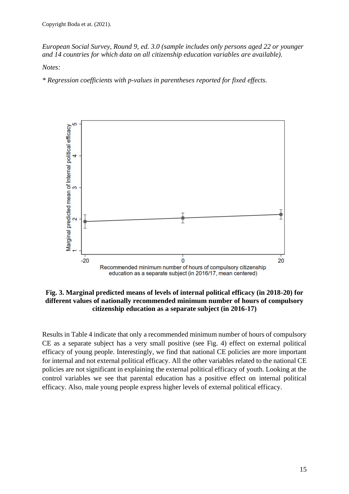*European Social Survey, Round 9, ed. 3.0 (sample includes only persons aged 22 or younger and 14 countries for which data on all citizenship education variables are available).*

*Notes:*

*\* Regression coefficients with p-values in parentheses reported for fixed effects.*



**Fig. 3. Marginal predicted means of levels of internal political efficacy (in 2018-20) for different values of nationally recommended minimum number of hours of compulsory citizenship education as a separate subject (in 2016-17)**

Results in Table 4 indicate that only a recommended minimum number of hours of compulsory CE as a separate subject has a very small positive (see Fig. 4) effect on external political efficacy of young people. Interestingly, we find that national CE policies are more important for internal and not external political efficacy. All the other variables related to the national CE policies are not significant in explaining the external political efficacy of youth. Looking at the control variables we see that parental education has a positive effect on internal political efficacy. Also, male young people express higher levels of external political efficacy.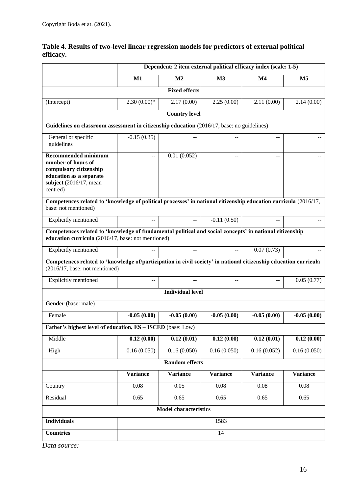|                                                                                                                                                               | Dependent: 2 item external political efficacy index (scale: 1-5) |                              |                 |                 |                 |  |
|---------------------------------------------------------------------------------------------------------------------------------------------------------------|------------------------------------------------------------------|------------------------------|-----------------|-----------------|-----------------|--|
|                                                                                                                                                               | $M1$                                                             | M <sub>2</sub>               | M3              | M <sub>4</sub>  | M <sub>5</sub>  |  |
|                                                                                                                                                               |                                                                  | <b>Fixed effects</b>         |                 |                 |                 |  |
| (Intercept)                                                                                                                                                   | $2.30(0.00)*$                                                    | 2.17(0.00)                   | 2.25(0.00)      | 2.11(0.00)      | 2.14(0.00)      |  |
|                                                                                                                                                               |                                                                  | <b>Country level</b>         |                 |                 |                 |  |
| Guidelines on classroom assessment in citizenship education (2016/17, base: no guidelines)                                                                    |                                                                  |                              |                 |                 |                 |  |
| General or specific<br>guidelines                                                                                                                             | $-0.15(0.35)$                                                    |                              |                 |                 |                 |  |
| <b>Recommended minimum</b><br>number of hours of<br>compulsory citizenship<br>education as a separate<br>subject $(2016/17, \text{mean})$<br>centred)         | $\overline{a}$                                                   | 0.01(0.052)                  | $-$             | $=$             |                 |  |
| Competences related to 'knowledge of political processes' in national citizenship education curricula (2016/17,<br>base: not mentioned)                       |                                                                  |                              |                 |                 |                 |  |
| Explicitly mentioned                                                                                                                                          | $-$                                                              | $-$                          | $-0.11(0.50)$   |                 |                 |  |
| Competences related to 'knowledge of fundamental political and social concepts' in national citizenship<br>education curricula (2016/17, base: not mentioned) |                                                                  |                              |                 |                 |                 |  |
| Explicitly mentioned                                                                                                                                          | $-$                                                              | --                           |                 | 0.07(0.73)      |                 |  |
| Competences related to 'knowledge of/participation in civil society' in national citizenship education curricula<br>$(2016/17, \text{base: not mentioned})$   |                                                                  |                              |                 |                 |                 |  |
| Explicitly mentioned                                                                                                                                          | --                                                               |                              |                 | --              | 0.05(0.77)      |  |
|                                                                                                                                                               |                                                                  | <b>Individual level</b>      |                 |                 |                 |  |
| Gender (base: male)                                                                                                                                           |                                                                  |                              |                 |                 |                 |  |
| Female                                                                                                                                                        | $-0.05(0.00)$                                                    | $-0.05(0.00)$                | $-0.05(0.00)$   | $-0.05(0.00)$   | $-0.05(0.00)$   |  |
| Father's highest level of education, ES - ISCED (base: Low)                                                                                                   |                                                                  |                              |                 |                 |                 |  |
| Middle                                                                                                                                                        | 0.12(0.00)                                                       | 0.12(0.01)                   | 0.12(0.00)      | 0.12(0.01)      | 0.12(0.00)      |  |
| High                                                                                                                                                          | 0.16(0.050)                                                      | 0.16(0.050)                  | 0.16(0.050)     | 0.16(0.052)     | 0.16(0.050)     |  |
|                                                                                                                                                               |                                                                  | <b>Random effects</b>        |                 |                 |                 |  |
|                                                                                                                                                               | <b>Variance</b>                                                  | <b>Variance</b>              | <b>Variance</b> | <b>Variance</b> | <b>Variance</b> |  |
| Country                                                                                                                                                       | 0.08                                                             | 0.05                         | 0.08            | 0.08            | 0.08            |  |
| Residual                                                                                                                                                      | 0.65                                                             | 0.65                         | 0.65            | 0.65            | 0.65            |  |
|                                                                                                                                                               |                                                                  | <b>Model characteristics</b> |                 |                 |                 |  |
| <b>Individuals</b>                                                                                                                                            |                                                                  |                              | 1583            |                 |                 |  |
| <b>Countries</b>                                                                                                                                              |                                                                  |                              | 14              |                 |                 |  |

# **Table 4. Results of two-level linear regression models for predictors of external political efficacy.**

*Data source:*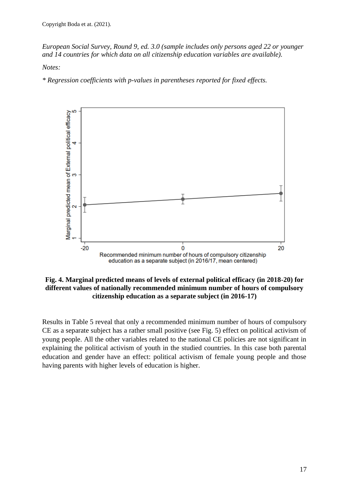*European Social Survey, Round 9, ed. 3.0 (sample includes only persons aged 22 or younger and 14 countries for which data on all citizenship education variables are available).*

*Notes:*

*\* Regression coefficients with p-values in parentheses reported for fixed effects.*



**Fig. 4. Marginal predicted means of levels of external political efficacy (in 2018-20) for different values of nationally recommended minimum number of hours of compulsory citizenship education as a separate subject (in 2016-17)**

Results in Table 5 reveal that only a recommended minimum number of hours of compulsory CE as a separate subject has a rather small positive (see Fig. 5) effect on political activism of young people. All the other variables related to the national CE policies are not significant in explaining the political activism of youth in the studied countries. In this case both parental education and gender have an effect: political activism of female young people and those having parents with higher levels of education is higher.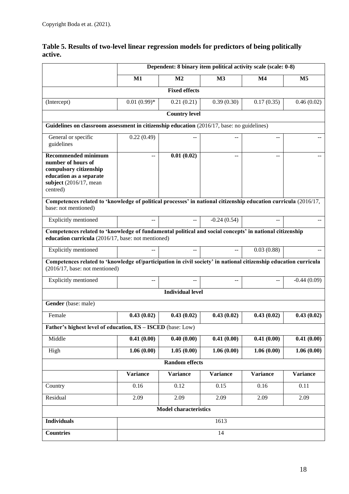|                                                                                                                                                               | Dependent: 8 binary item political activity scale (scale: 0-8) |                              |                 |                 |                 |  |
|---------------------------------------------------------------------------------------------------------------------------------------------------------------|----------------------------------------------------------------|------------------------------|-----------------|-----------------|-----------------|--|
|                                                                                                                                                               | $M1$                                                           | M <sub>2</sub>               | M3              | M <sub>4</sub>  | M <sub>5</sub>  |  |
|                                                                                                                                                               |                                                                | <b>Fixed effects</b>         |                 |                 |                 |  |
| (Intercept)                                                                                                                                                   | $0.01(0.99)*$                                                  | 0.21(0.21)                   | 0.39(0.30)      | 0.17(0.35)      | 0.46(0.02)      |  |
|                                                                                                                                                               |                                                                | <b>Country level</b>         |                 |                 |                 |  |
| Guidelines on classroom assessment in citizenship education (2016/17, base: no guidelines)                                                                    |                                                                |                              |                 |                 |                 |  |
| General or specific<br>guidelines                                                                                                                             | 0.22(0.49)                                                     |                              |                 |                 |                 |  |
| <b>Recommended minimum</b><br>number of hours of<br>compulsory citizenship<br>education as a separate<br>subject $(2016/17, \text{mean})$<br>centred)         | --                                                             | 0.01(0.02)                   | $-$             |                 |                 |  |
| Competences related to 'knowledge of political processes' in national citizenship education curricula (2016/17,<br>base: not mentioned)                       |                                                                |                              |                 |                 |                 |  |
| Explicitly mentioned                                                                                                                                          | $\overline{a}$                                                 | $-$                          | $-0.24(0.54)$   |                 |                 |  |
| Competences related to 'knowledge of fundamental political and social concepts' in national citizenship<br>education curricula (2016/17, base: not mentioned) |                                                                |                              |                 |                 |                 |  |
| Explicitly mentioned                                                                                                                                          | $-$                                                            | --                           |                 | 0.03(0.88)      |                 |  |
| Competences related to 'knowledge of/participation in civil society' in national citizenship education curricula<br>$(2016/17, \text{base: not mentioned})$   |                                                                |                              |                 |                 |                 |  |
| Explicitly mentioned                                                                                                                                          |                                                                |                              | --              | --              | $-0.44(0.09)$   |  |
|                                                                                                                                                               |                                                                | <b>Individual level</b>      |                 |                 |                 |  |
| Gender (base: male)                                                                                                                                           |                                                                |                              |                 |                 |                 |  |
| Female                                                                                                                                                        | 0.43(0.02)                                                     | 0.43(0.02)                   | 0.43(0.02)      | 0.43(0.02)      | 0.43(0.02)      |  |
| Father's highest level of education, ES - ISCED (base: Low)                                                                                                   |                                                                |                              |                 |                 |                 |  |
| Middle                                                                                                                                                        | 0.41(0.00)                                                     | 0.40(0.00)                   | 0.41(0.00)      | 0.41(0.00)      | 0.41(0.00)      |  |
| High                                                                                                                                                          | 1.06(0.00)                                                     | 1.05(0.00)                   | 1.06(0.00)      | 1.06(0.00)      | 1.06(0.00)      |  |
|                                                                                                                                                               |                                                                | <b>Random effects</b>        |                 |                 |                 |  |
|                                                                                                                                                               | <b>Variance</b>                                                | <b>Variance</b>              | <b>Variance</b> | <b>Variance</b> | <b>Variance</b> |  |
| Country                                                                                                                                                       | 0.16                                                           | 0.12                         | 0.15            | 0.16            | 0.11            |  |
| Residual                                                                                                                                                      | 2.09                                                           | 2.09                         | 2.09            | 2.09            | 2.09            |  |
|                                                                                                                                                               |                                                                | <b>Model characteristics</b> |                 |                 |                 |  |
| <b>Individuals</b>                                                                                                                                            |                                                                |                              | 1613            |                 |                 |  |
| <b>Countries</b>                                                                                                                                              |                                                                |                              | 14              |                 |                 |  |

# **Table 5. Results of two-level linear regression models for predictors of being politically active.**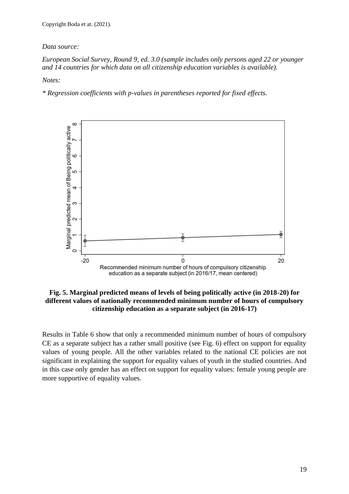#### *Data source:*

*European Social Survey, Round 9, ed. 3.0 (sample includes only persons aged 22 or younger and 14 countries for which data on all citizenship education variables is available).*

*Notes:*

*\* Regression coefficients with p-values in parentheses reported for fixed effects.*



**Fig. 5. Marginal predicted means of levels of being politically active (in 2018-20) for different values of nationally recommended minimum number of hours of compulsory citizenship education as a separate subject (in 2016-17)**

Results in Table 6 show that only a recommended minimum number of hours of compulsory CE as a separate subject has a rather small positive (see Fig. 6) effect on support for equality values of young people. All the other variables related to the national CE policies are not significant in explaining the support for equality values of youth in the studied countries. And in this case only gender has an effect on support for equality values: female young people are more supportive of equality values.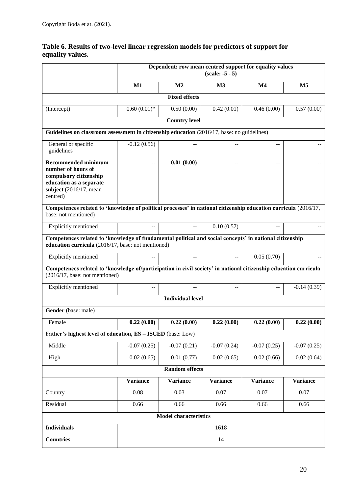|                                                                                                                                                               | Dependent: row mean centred support for equality values<br>$(scale: -5 - 5)$ |                              |                 |                 |                 |
|---------------------------------------------------------------------------------------------------------------------------------------------------------------|------------------------------------------------------------------------------|------------------------------|-----------------|-----------------|-----------------|
|                                                                                                                                                               | $M1$                                                                         | M <sub>2</sub>               | M <sub>3</sub>  | M <sub>4</sub>  | M <sub>5</sub>  |
|                                                                                                                                                               |                                                                              | <b>Fixed effects</b>         |                 |                 |                 |
| (Intercept)                                                                                                                                                   | $0.60(0.01)*$                                                                | 0.50(0.00)                   | 0.42(0.01)      | 0.46(0.00)      | 0.57(0.00)      |
|                                                                                                                                                               |                                                                              | <b>Country level</b>         |                 |                 |                 |
| Guidelines on classroom assessment in citizenship education (2016/17, base: no guidelines)                                                                    |                                                                              |                              |                 |                 |                 |
| General or specific<br>guidelines                                                                                                                             | $-0.12(0.56)$                                                                |                              |                 | --              |                 |
| <b>Recommended minimum</b><br>number of hours of<br>compulsory citizenship<br>education as a separate<br>subject $(2016/17, \text{mean})$<br>centred)         |                                                                              | 0.01(0.00)                   |                 |                 |                 |
| Competences related to 'knowledge of political processes' in national citizenship education curricula (2016/17,<br>base: not mentioned)                       |                                                                              |                              |                 |                 |                 |
| Explicitly mentioned                                                                                                                                          |                                                                              | $-$                          | 0.10(0.57)      |                 |                 |
| Competences related to 'knowledge of fundamental political and social concepts' in national citizenship<br>education curricula (2016/17, base: not mentioned) |                                                                              |                              |                 |                 |                 |
| Explicitly mentioned                                                                                                                                          |                                                                              | $-$                          |                 | 0.05(0.70)      |                 |
| Competences related to 'knowledge of/participation in civil society' in national citizenship education curricula<br>(2016/17, base: not mentioned)            |                                                                              |                              |                 |                 |                 |
| <b>Explicitly mentioned</b>                                                                                                                                   | $-$                                                                          | --                           | $-$             | $-$             | $-0.14(0.39)$   |
|                                                                                                                                                               |                                                                              | <b>Individual level</b>      |                 |                 |                 |
| Gender (base: male)                                                                                                                                           |                                                                              |                              |                 |                 |                 |
| Female                                                                                                                                                        | 0.22(0.00)                                                                   | 0.22(0.00)                   | 0.22(0.00)      | 0.22(0.00)      | 0.22(0.00)      |
| Father's highest level of education, ES - ISCED (base: Low)                                                                                                   |                                                                              |                              |                 |                 |                 |
| Middle                                                                                                                                                        | $-0.07(0.25)$                                                                | $-0.07(0.21)$                | $-0.07(0.24)$   | $-0.07(0.25)$   | $-0.07(0.25)$   |
| High                                                                                                                                                          | 0.02(0.65)                                                                   | 0.01(0.77)                   | 0.02(0.65)      | 0.02(0.66)      | 0.02(0.64)      |
|                                                                                                                                                               |                                                                              | <b>Random effects</b>        |                 |                 |                 |
|                                                                                                                                                               | <b>Variance</b>                                                              | <b>Variance</b>              | <b>Variance</b> | <b>Variance</b> | <b>Variance</b> |
| Country                                                                                                                                                       | 0.08                                                                         | 0.03                         | 0.07            | 0.07            | 0.07            |
| Residual                                                                                                                                                      | 0.66                                                                         | 0.66                         | 0.66            | 0.66            | 0.66            |
|                                                                                                                                                               |                                                                              | <b>Model characteristics</b> |                 |                 |                 |
| <b>Individuals</b>                                                                                                                                            |                                                                              |                              | 1618            |                 |                 |
| <b>Countries</b>                                                                                                                                              |                                                                              |                              | 14              |                 |                 |

# **Table 6. Results of two-level linear regression models for predictors of support for equality values.**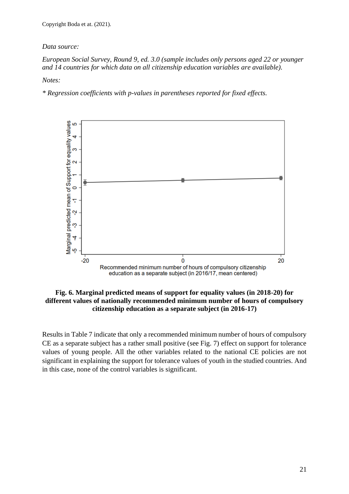#### *Data source:*

#### *European Social Survey, Round 9, ed. 3.0 (sample includes only persons aged 22 or younger and 14 countries for which data on all citizenship education variables are available).*

*Notes:*

*\* Regression coefficients with p-values in parentheses reported for fixed effects.*



#### **Fig. 6. Marginal predicted means of support for equality values (in 2018-20) for different values of nationally recommended minimum number of hours of compulsory citizenship education as a separate subject (in 2016-17)**

Results in Table 7 indicate that only a recommended minimum number of hours of compulsory CE as a separate subject has a rather small positive (see Fig. 7) effect on support for tolerance values of young people. All the other variables related to the national CE policies are not significant in explaining the support for tolerance values of youth in the studied countries. And in this case, none of the control variables is significant.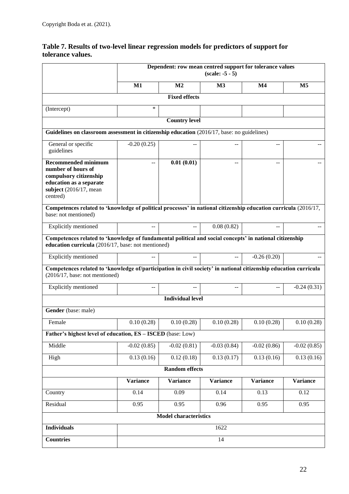|                                                                                                                                                               | Dependent: row mean centred support for tolerance values<br>$(scale: -5 - 5)$ |                              |                 |               |                 |
|---------------------------------------------------------------------------------------------------------------------------------------------------------------|-------------------------------------------------------------------------------|------------------------------|-----------------|---------------|-----------------|
|                                                                                                                                                               | M1                                                                            | M <sub>2</sub>               | $\mathbf{M}3$   | $\mathbf{M}4$ | M5              |
|                                                                                                                                                               |                                                                               | <b>Fixed effects</b>         |                 |               |                 |
| (Intercept)                                                                                                                                                   | *                                                                             |                              |                 |               |                 |
|                                                                                                                                                               |                                                                               | <b>Country level</b>         |                 |               |                 |
| Guidelines on classroom assessment in citizenship education (2016/17, base: no guidelines)                                                                    |                                                                               |                              |                 |               |                 |
| General or specific<br>guidelines                                                                                                                             | $-0.20(0.25)$                                                                 |                              |                 |               |                 |
| <b>Recommended minimum</b><br>number of hours of<br>compulsory citizenship<br>education as a separate<br>subject $(2016/17, \text{mean})$<br>centred)         |                                                                               | 0.01(0.01)                   |                 |               |                 |
| Competences related to 'knowledge of political processes' in national citizenship education curricula (2016/17,<br>base: not mentioned)                       |                                                                               |                              |                 |               |                 |
| Explicitly mentioned                                                                                                                                          | $-$                                                                           | $-$                          | 0.08(0.82)      | $-$           |                 |
| Competences related to 'knowledge of fundamental political and social concepts' in national citizenship<br>education curricula (2016/17, base: not mentioned) |                                                                               |                              |                 |               |                 |
| Explicitly mentioned                                                                                                                                          | $=$                                                                           | $-$                          | $-$             | $-0.26(0.20)$ |                 |
| Competences related to 'knowledge of/participation in civil society' in national citizenship education curricula<br>$(2016/17, \text{base: not mentioned})$   |                                                                               |                              |                 |               |                 |
| Explicitly mentioned                                                                                                                                          | $-$                                                                           | --                           | $-$             | $-$           | $-0.24(0.31)$   |
|                                                                                                                                                               |                                                                               | <b>Individual level</b>      |                 |               |                 |
| Gender (base: male)                                                                                                                                           |                                                                               |                              |                 |               |                 |
| Female                                                                                                                                                        | 0.10(0.28)                                                                    | 0.10(0.28)                   | 0.10(0.28)      | 0.10(0.28)    | 0.10(0.28)      |
| Father's highest level of education, ES - ISCED (base: Low)                                                                                                   |                                                                               |                              |                 |               |                 |
| Middle                                                                                                                                                        | $-0.02(0.85)$                                                                 | $-0.02(0.81)$                | $-0.03(0.84)$   | $-0.02(0.86)$ | $-0.02(0.85)$   |
| High                                                                                                                                                          | 0.13(0.16)                                                                    | 0.12(0.18)                   | 0.13(0.17)      | 0.13(0.16)    | 0.13(0.16)      |
|                                                                                                                                                               |                                                                               | <b>Random effects</b>        |                 |               |                 |
|                                                                                                                                                               | <b>Variance</b>                                                               | <b>Variance</b>              | <b>Variance</b> | Variance      | <b>Variance</b> |
| Country                                                                                                                                                       | 0.14                                                                          | 0.09                         | 0.14            | 0.13          | 0.12            |
| Residual                                                                                                                                                      | 0.95                                                                          | 0.95                         | 0.96            | 0.95          | 0.95            |
|                                                                                                                                                               |                                                                               | <b>Model characteristics</b> |                 |               |                 |
| <b>Individuals</b>                                                                                                                                            |                                                                               |                              | 1622            |               |                 |
| <b>Countries</b>                                                                                                                                              |                                                                               |                              | 14              |               |                 |

#### **Table 7. Results of two-level linear regression models for predictors of support for tolerance values.**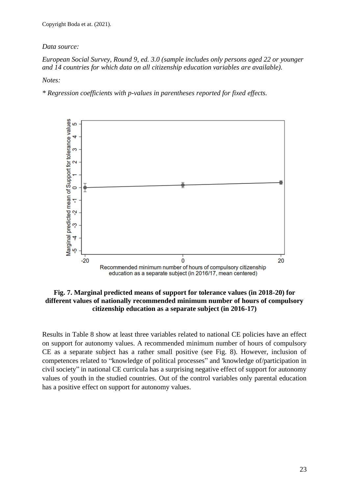#### *Data source:*

#### *European Social Survey, Round 9, ed. 3.0 (sample includes only persons aged 22 or younger and 14 countries for which data on all citizenship education variables are available).*

*Notes:*

*\* Regression coefficients with p-values in parentheses reported for fixed effects.*



#### **Fig. 7. Marginal predicted means of support for tolerance values (in 2018-20) for different values of nationally recommended minimum number of hours of compulsory citizenship education as a separate subject (in 2016-17)**

Results in Table 8 show at least three variables related to national CE policies have an effect on support for autonomy values. A recommended minimum number of hours of compulsory CE as a separate subject has a rather small positive (see Fig. 8). However, inclusion of competences related to "knowledge of political processes" and 'knowledge of/participation in civil society" in national CE curricula has a surprising negative effect of support for autonomy values of youth in the studied countries. Out of the control variables only parental education has a positive effect on support for autonomy values.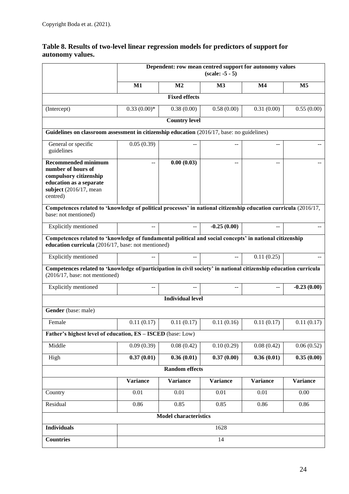|                  | Table 8. Results of two-level linear regression models for predictors of support for |
|------------------|--------------------------------------------------------------------------------------|
| autonomy values. |                                                                                      |

|                                                                                                                                                               | Dependent: row mean centred support for autonomy values<br>$(scale: -5 - 5)$ |                              |                 |                 |                 |  |
|---------------------------------------------------------------------------------------------------------------------------------------------------------------|------------------------------------------------------------------------------|------------------------------|-----------------|-----------------|-----------------|--|
|                                                                                                                                                               | M1                                                                           | M <sub>2</sub>               | M <sub>3</sub>  | $\mathbf{M}4$   | M <sub>5</sub>  |  |
|                                                                                                                                                               |                                                                              | <b>Fixed effects</b>         |                 |                 |                 |  |
| (Intercept)                                                                                                                                                   | $0.33(0.00)*$                                                                | 0.38(0.00)                   | 0.58(0.00)      | 0.31(0.00)      | 0.55(0.00)      |  |
|                                                                                                                                                               |                                                                              | <b>Country level</b>         |                 |                 |                 |  |
| Guidelines on classroom assessment in citizenship education (2016/17, base: no guidelines)                                                                    |                                                                              |                              |                 |                 |                 |  |
| General or specific<br>guidelines                                                                                                                             | 0.05(0.39)                                                                   | --                           |                 | --              |                 |  |
| <b>Recommended minimum</b><br>number of hours of<br>compulsory citizenship<br>education as a separate<br>subject $(2016/17, \text{mean})$<br>centred)         | --                                                                           | 0.00(0.03)                   | --              | --              |                 |  |
| Competences related to 'knowledge of political processes' in national citizenship education curricula (2016/17,<br>base: not mentioned)                       |                                                                              |                              |                 |                 |                 |  |
| Explicitly mentioned                                                                                                                                          | $-$                                                                          |                              | $-0.25(0.00)$   |                 |                 |  |
| Competences related to 'knowledge of fundamental political and social concepts' in national citizenship<br>education curricula (2016/17, base: not mentioned) |                                                                              |                              |                 |                 |                 |  |
| Explicitly mentioned                                                                                                                                          |                                                                              |                              |                 | 0.11(0.25)      |                 |  |
| Competences related to 'knowledge of/participation in civil society' in national citizenship education curricula<br>$(2016/17, \text{base: not mentioned})$   |                                                                              |                              |                 |                 |                 |  |
| Explicitly mentioned                                                                                                                                          |                                                                              |                              |                 | --              | $-0.23(0.00)$   |  |
|                                                                                                                                                               |                                                                              | <b>Individual level</b>      |                 |                 |                 |  |
| Gender (base: male)                                                                                                                                           |                                                                              |                              |                 |                 |                 |  |
| Female                                                                                                                                                        | 0.11(0.17)                                                                   | 0.11(0.17)                   | 0.11(0.16)      | 0.11(0.17)      | 0.11(0.17)      |  |
| Father's highest level of education, ES - ISCED (base: Low)                                                                                                   |                                                                              |                              |                 |                 |                 |  |
| Middle                                                                                                                                                        | 0.09(0.39)                                                                   | 0.08(0.42)                   | 0.10(0.29)      | 0.08(0.42)      | 0.06(0.52)      |  |
| High                                                                                                                                                          | 0.37(0.01)                                                                   | 0.36(0.01)                   | 0.37(0.00)      | 0.36(0.01)      | 0.35(0.00)      |  |
|                                                                                                                                                               |                                                                              | <b>Random</b> effects        |                 |                 |                 |  |
|                                                                                                                                                               | <b>Variance</b>                                                              | <b>Variance</b>              | <b>Variance</b> | <b>Variance</b> | <b>Variance</b> |  |
| Country                                                                                                                                                       | 0.01                                                                         | 0.01                         | 0.01            | 0.01            | 0.00            |  |
| Residual                                                                                                                                                      | 0.86                                                                         | 0.85                         | 0.85            | 0.86            | 0.86            |  |
|                                                                                                                                                               |                                                                              | <b>Model characteristics</b> |                 |                 |                 |  |
| <b>Individuals</b>                                                                                                                                            |                                                                              |                              | 1628            |                 |                 |  |
| <b>Countries</b>                                                                                                                                              |                                                                              |                              | 14              |                 |                 |  |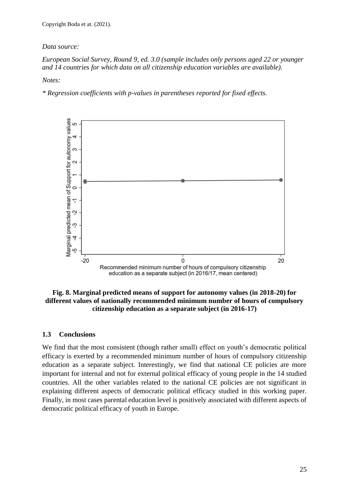#### *Data source:*

#### *European Social Survey, Round 9, ed. 3.0 (sample includes only persons aged 22 or younger and 14 countries for which data on all citizenship education variables are available).*

*Notes:*

*\* Regression coefficients with p-values in parentheses reported for fixed effects.*



#### **Fig. 8. Marginal predicted means of support for autonomy values (in 2018-20) for different values of nationally recommended minimum number of hours of compulsory citizenship education as a separate subject (in 2016-17)**

#### <span id="page-24-0"></span>**1.3 Conclusions**

We find that the most consistent (though rather small) effect on youth's democratic political efficacy is exerted by a recommended minimum number of hours of compulsory citizenship education as a separate subject. Interestingly, we find that national CE policies are more important for internal and not for external political efficacy of young people in the 14 studied countries. All the other variables related to the national CE policies are not significant in explaining different aspects of democratic political efficacy studied in this working paper. Finally, in most cases parental education level is positively associated with different aspects of democratic political efficacy of youth in Europe.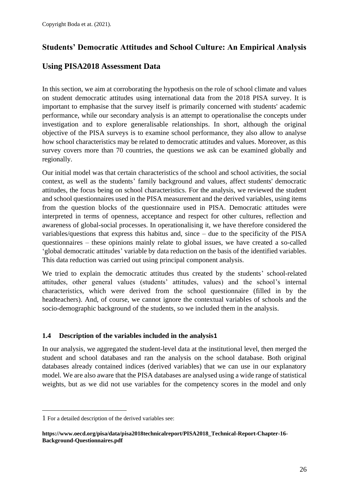# <span id="page-25-0"></span>**Students' Democratic Attitudes and School Culture: An Empirical Analysis**

# **Using PISA2018 Assessment Data**

In this section, we aim at corroborating the hypothesis on the role of school climate and values on student democratic attitudes using international data from the 2018 PISA survey. It is important to emphasise that the survey itself is primarily concerned with students' academic performance, while our secondary analysis is an attempt to operationalise the concepts under investigation and to explore generalisable relationships. In short, although the original objective of the PISA surveys is to examine school performance, they also allow to analyse how school characteristics may be related to democratic attitudes and values. Moreover, as this survey covers more than 70 countries, the questions we ask can be examined globally and regionally.

Our initial model was that certain characteristics of the school and school activities, the social context, as well as the students' family background and values, affect students' democratic attitudes, the focus being on school characteristics. For the analysis, we reviewed the student and school questionnaires used in the PISA measurement and the derived variables, using items from the question blocks of the questionnaire used in PISA. Democratic attitudes were interpreted in terms of openness, acceptance and respect for other cultures, reflection and awareness of global-social processes. In operationalising it, we have therefore considered the variables/questions that express this habitus and, since – due to the specificity of the PISA questionnaires – these opinions mainly relate to global issues, we have created a so-called 'global democratic attitudes' variable by data reduction on the basis of the identified variables. This data reduction was carried out using principal component analysis.

We tried to explain the democratic attitudes thus created by the students' school-related attitudes, other general values (students' attitudes, values) and the school's internal characteristics, which were derived from the school questionnaire (filled in by the headteachers). And, of course, we cannot ignore the contextual variables of schools and the socio-demographic background of the students, so we included them in the analysis.

## <span id="page-25-1"></span>**1.4 Description of the variables included in the analysis1**

In our analysis, we aggregated the student-level data at the institutional level, then merged the student and school databases and ran the analysis on the school database. Both original databases already contained indices (derived variables) that we can use in our explanatory model. We are also aware that the PISA databases are analysed using a wide range of statistical weights, but as we did not use variables for the competency scores in the model and only

<sup>1</sup> For a detailed description of the derived variables see:

**[https://www.oecd.org/pisa/data/pisa2018technicalreport/PISA2018\\_Technical-Report-Chapter-16-](https://www.oecd.org/pisa/data/pisa2018technicalreport/PISA2018_Technical-Report-Chapter-16-Background-Questionnaires.pdf) [Background-Questionnaires.pdf](https://www.oecd.org/pisa/data/pisa2018technicalreport/PISA2018_Technical-Report-Chapter-16-Background-Questionnaires.pdf)**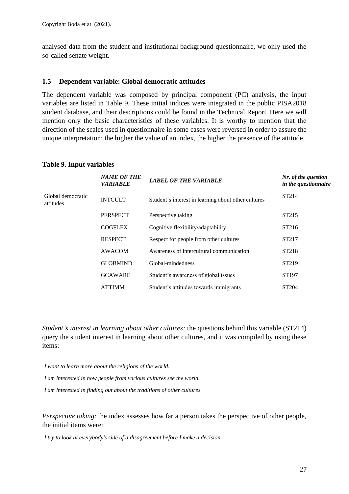analysed data from the student and institutional background questionnaire, we only used the so-called senate weight.

#### <span id="page-26-0"></span>**1.5 Dependent variable: Global democratic attitudes**

The dependent variable was composed by principal component (PC) analysis, the input variables are listed in Table 9. These initial indices were integrated in the public PISA2018 student database, and their descriptions could be found in the Technical Report. Here we will mention only the basic characteristics of these variables. It is worthy to mention that the direction of the scales used in questionnaire in some cases were reversed in order to assure the unique interpretation: the higher the value of an index, the higher the presence of the attitude.

# **Table 9. Input variables**

|                                | <b>NAME OF THE</b><br><b>VARIABLE</b> | <b>LABEL OF THE VARIABLE</b>                        | Nr. of the question<br>in the questionnaire |
|--------------------------------|---------------------------------------|-----------------------------------------------------|---------------------------------------------|
| Global democratic<br>attitudes | <b>INTCULT</b>                        | Student's interest in learning about other cultures | ST <sub>214</sub>                           |
|                                | <b>PERSPECT</b>                       | Perspective taking                                  | ST <sub>215</sub>                           |
|                                | <b>COGFLEX</b>                        | Cognitive flexibility/adaptability                  | ST <sub>216</sub>                           |
|                                | <b>RESPECT</b>                        | Respect for people from other cultures              | ST <sub>217</sub>                           |
|                                | <b>AWACOM</b>                         | Awareness of intercultural communication            | ST <sub>218</sub>                           |
|                                | <b>GLOBMIND</b>                       | Global-mindedness                                   | ST <sub>219</sub>                           |
|                                | <b>GCAWARE</b>                        | Student's awareness of global issues                | ST <sub>197</sub>                           |
|                                | <b>ATTIMM</b>                         | Student's attitudes towards immigrants              | ST <sub>204</sub>                           |

*Student's interest in learning about other cultures:* the questions behind this variable (ST214) query the student interest in learning about other cultures, and it was compiled by using these items:

*I want to learn more about the religions of the world.*

*I am interested in how people from various cultures see the world.*

*I am interested in finding out about the traditions of other cultures.*

*Perspective taking*: the index assesses how far a person takes the perspective of other people, the initial items were:

*I try to look at everybody's side of a disagreement before I make a decision.*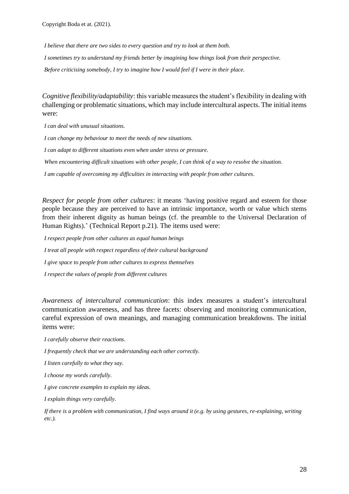*I believe that there are two sides to every question and try to look at them both.*

*I sometimes try to understand my friends better by imagining how things look from their perspective. Before criticising somebody, I try to imagine how I would feel if I were in their place.*

*Cognitive flexibility/adaptability*: this variable measures the student's flexibility in dealing with challenging or problematic situations, which may include intercultural aspects. The initial items were:

*I can deal with unusual situations.*

*I can change my behaviour to meet the needs of new situations.*

*I can adapt to different situations even when under stress or pressure.*

*When encountering difficult situations with other people, I can think of a way to resolve the situation.*

*I am capable of overcoming my difficulties in interacting with people from other cultures.*

*Respect for people from other cultures*: it means 'having positive regard and esteem for those people because they are perceived to have an intrinsic importance, worth or value which stems from their inherent dignity as human beings (cf. the preamble to the Universal Declaration of Human Rights).' (Technical Report p.21). The items used were:

*I respect people from other cultures as equal human beings I treat all people with respect regardless of their cultural background I give space to people from other cultures to express themselves I respect the values of people from different cultures*

*Awareness of intercultural communication*: this index measures a student's intercultural communication awareness, and has three facets: observing and monitoring communication, careful expression of own meanings, and managing communication breakdowns. The initial items were:

*I carefully observe their reactions.*

*I frequently check that we are understanding each other correctly.*

*I listen carefully to what they say.*

*I choose my words carefully.*

*I give concrete examples to explain my ideas.*

*I explain things very carefully.*

*If there is a problem with communication, I find ways around it (e.g. by using gestures, re-explaining, writing etc.).*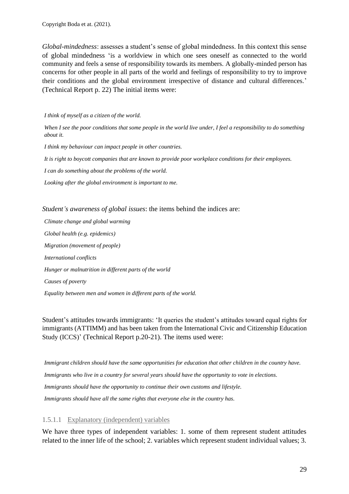*Global-mindedness*: assesses a student's sense of global mindedness. In this context this sense of global mindedness 'is a worldview in which one sees oneself as connected to the world community and feels a sense of responsibility towards its members. A globally-minded person has concerns for other people in all parts of the world and feelings of responsibility to try to improve their conditions and the global environment irrespective of distance and cultural differences.' (Technical Report p. 22) The initial items were:

#### *I think of myself as a citizen of the world.*

*When I see the poor conditions that some people in the world live under, I feel a responsibility to do something about it.* 

*I think my behaviour can impact people in other countries.* 

*It is right to boycott companies that are known to provide poor workplace conditions for their employees.* 

*I can do something about the problems of the world.*

*Looking after the global environment is important to me.*

*Student's awareness of global issues*: the items behind the indices are:

*Climate change and global warming Global health (e.g. epidemics) Migration (movement of people) International conflicts Hunger or malnutrition in different parts of the world Causes of poverty Equality between men and women in different parts of the world.*

Student's attitudes towards immigrants: 'It queries the student's attitudes toward equal rights for immigrants (ATTIMM) and has been taken from the International Civic and Citizenship Education Study (ICCS)' (Technical Report p.20-21). The items used were:

*Immigrant children should have the same opportunities for education that other children in the country have. Immigrants who live in a country for several years should have the opportunity to vote in elections. Immigrants should have the opportunity to continue their own customs and lifestyle. Immigrants should have all the same rights that everyone else in the country has.*

#### 1.5.1.1 Explanatory (independent) variables

We have three types of independent variables: 1. some of them represent student attitudes related to the inner life of the school; 2. variables which represent student individual values; 3.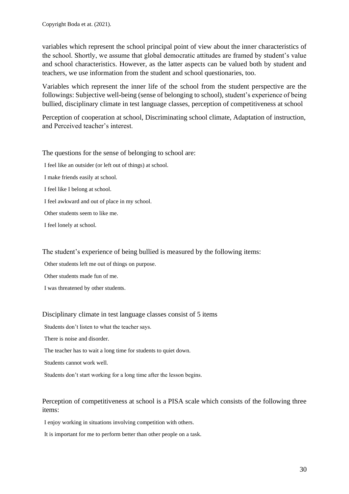variables which represent the school principal point of view about the inner characteristics of the school. Shortly, we assume that global democratic attitudes are framed by student's value and school characteristics. However, as the latter aspects can be valued both by student and teachers, we use information from the student and school questionaries, too.

Variables which represent the inner life of the school from the student perspective are the followings: Subjective well-being (sense of belonging to school), student's experience of being bullied, disciplinary climate in test language classes, perception of competitiveness at school

Perception of cooperation at school, Discriminating school climate, Adaptation of instruction, and Perceived teacher's interest.

The questions for the sense of belonging to school are:

- I feel like an outsider (or left out of things) at school.
- I make friends easily at school.
- I feel like I belong at school.
- I feel awkward and out of place in my school.
- Other students seem to like me.
- I feel lonely at school.

The student's experience of being bullied is measured by the following items:

Other students left me out of things on purpose.

- Other students made fun of me.
- I was threatened by other students.

#### Disciplinary climate in test language classes consist of 5 items

Students don't listen to what the teacher says.

There is noise and disorder.

The teacher has to wait a long time for students to quiet down.

Students cannot work well.

Students don't start working for a long time after the lesson begins.

#### Perception of competitiveness at school is a PISA scale which consists of the following three items:

I enjoy working in situations involving competition with others.

It is important for me to perform better than other people on a task.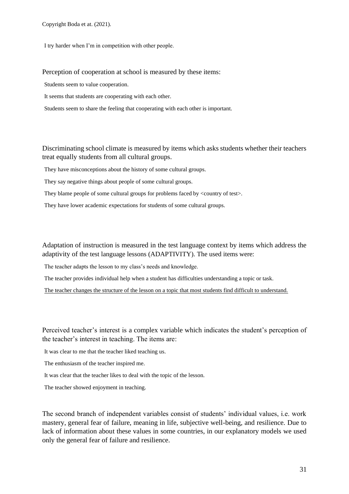I try harder when I'm in competition with other people.

#### Perception of cooperation at school is measured by these items:

Students seem to value cooperation.

It seems that students are cooperating with each other.

Students seem to share the feeling that cooperating with each other is important.

#### Discriminating school climate is measured by items which asks students whether their teachers treat equally students from all cultural groups.

They have misconceptions about the history of some cultural groups.

They say negative things about people of some cultural groups.

They blame people of some cultural groups for problems faced by  $\langle$  country of test $\rangle$ .

They have lower academic expectations for students of some cultural groups.

Adaptation of instruction is measured in the test language context by items which address the adaptivity of the test language lessons (ADAPTIVITY). The used items were:

The teacher adapts the lesson to my class's needs and knowledge.

The teacher provides individual help when a student has difficulties understanding a topic or task.

The teacher changes the structure of the lesson on a topic that most students find difficult to understand.

Perceived teacher's interest is a complex variable which indicates the student's perception of the teacher's interest in teaching. The items are:

It was clear to me that the teacher liked teaching us.

The enthusiasm of the teacher inspired me.

It was clear that the teacher likes to deal with the topic of the lesson.

The teacher showed enjoyment in teaching.

The second branch of independent variables consist of students' individual values, i.e. work mastery, general fear of failure, meaning in life, subjective well-being, and resilience. Due to lack of information about these values in some countries, in our explanatory models we used only the general fear of failure and resilience.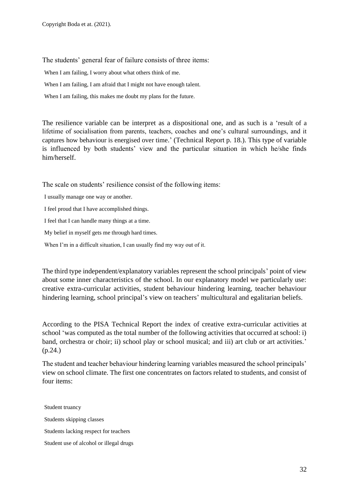The students' general fear of failure consists of three items:

When I am failing, I worry about what others think of me.

When I am failing, I am afraid that I might not have enough talent.

When I am failing, this makes me doubt my plans for the future.

The resilience variable can be interpret as a dispositional one, and as such is a 'result of a lifetime of socialisation from parents, teachers, coaches and one's cultural surroundings, and it captures how behaviour is energised over time.' (Technical Report p. 18.). This type of variable is influenced by both students' view and the particular situation in which he/she finds him/herself.

The scale on students' resilience consist of the following items:

I usually manage one way or another.

I feel proud that I have accomplished things.

I feel that I can handle many things at a time.

My belief in myself gets me through hard times.

When I'm in a difficult situation, I can usually find my way out of it.

The third type independent/explanatory variables represent the school principals' point of view about some inner characteristics of the school. In our explanatory model we particularly use: creative extra-curricular activities, student behaviour hindering learning, teacher behaviour hindering learning, school principal's view on teachers' multicultural and egalitarian beliefs.

According to the PISA Technical Report the index of creative extra-curricular activities at school 'was computed as the total number of the following activities that occurred at school: i) band, orchestra or choir; ii) school play or school musical; and iii) art club or art activities.' (p.24.)

The student and teacher behaviour hindering learning variables measured the school principals' view on school climate. The first one concentrates on factors related to students, and consist of four items:

Student truancy Students skipping classes Students lacking respect for teachers Student use of alcohol or illegal drugs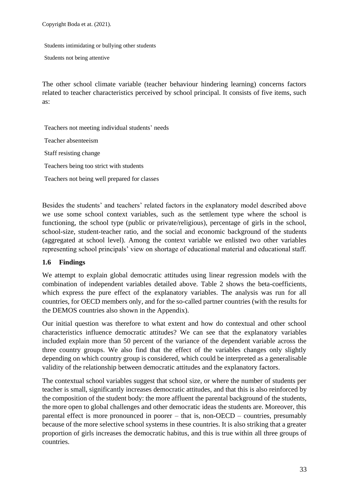Students intimidating or bullying other students

Students not being attentive

The other school climate variable (teacher behaviour hindering learning) concerns factors related to teacher characteristics perceived by school principal. It consists of five items, such as:

Teachers not meeting individual students' needs Teacher absenteeism Staff resisting change Teachers being too strict with students Teachers not being well prepared for classes

Besides the students' and teachers' related factors in the explanatory model described above we use some school context variables, such as the settlement type where the school is functioning, the school type (public or private/religious), percentage of girls in the school, school-size, student-teacher ratio, and the social and economic background of the students (aggregated at school level). Among the context variable we enlisted two other variables representing school principals' view on shortage of educational material and educational staff.

## <span id="page-32-0"></span>**1.6 Findings**

We attempt to explain global democratic attitudes using linear regression models with the combination of independent variables detailed above. Table 2 shows the beta-coefficients, which express the pure effect of the explanatory variables. The analysis was run for all countries, for OECD members only, and for the so-called partner countries (with the results for the DEMOS countries also shown in the Appendix).

Our initial question was therefore to what extent and how do contextual and other school characteristics influence democratic attitudes? We can see that the explanatory variables included explain more than 50 percent of the variance of the dependent variable across the three country groups. We also find that the effect of the variables changes only slightly depending on which country group is considered, which could be interpreted as a generalisable validity of the relationship between democratic attitudes and the explanatory factors.

The contextual school variables suggest that school size, or where the number of students per teacher is small, significantly increases democratic attitudes, and that this is also reinforced by the composition of the student body: the more affluent the parental background of the students, the more open to global challenges and other democratic ideas the students are. Moreover, this parental effect is more pronounced in poorer – that is, non-OECD – countries, presumably because of the more selective school systems in these countries. It is also striking that a greater proportion of girls increases the democratic habitus, and this is true within all three groups of countries.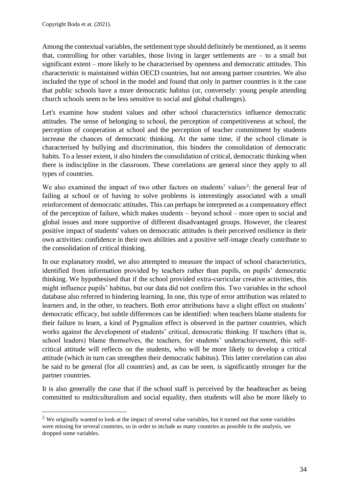Among the contextual variables, the settlement type should definitely be mentioned, as it seems that, controlling for other variables, those living in larger settlements are  $-$  to a small but significant extent – more likely to be characterised by openness and democratic attitudes. This characteristic is maintained within OECD countries, but not among partner countries. We also included the type of school in the model and found that only in partner countries is it the case that public schools have a more democratic habitus (or, conversely: young people attending church schools seem to be less sensitive to social and global challenges).

Let's examine how student values and other school characteristics influence democratic attitudes. The sense of belonging to school, the perception of competitiveness at school, the perception of cooperation at school and the perception of teacher commitment by students increase the chances of democratic thinking. At the same time, if the school climate is characterised by bullying and discrimination, this hinders the consolidation of democratic habits. To a lesser extent, it also hinders the consolidation of critical, democratic thinking when there is indiscipline in the classroom. These correlations are general since they apply to all types of countries.

We also examined the impact of two other factors on students' values<sup>2</sup>: the general fear of failing at school or of having to solve problems is interestingly associated with a small reinforcement of democratic attitudes. This can perhaps be interpreted as a compensatory effect of the perception of failure, which makes students – beyond school – more open to social and global issues and more supportive of different disadvantaged groups. However, the clearest positive impact of students' values on democratic attitudes is their perceived resilience in their own activities: confidence in their own abilities and a positive self-image clearly contribute to the consolidation of critical thinking.

In our explanatory model, we also attempted to measure the impact of school characteristics, identified from information provided by teachers rather than pupils, on pupils' democratic thinking. We hypothesised that if the school provided extra-curricular creative activities, this might influence pupils' habitus, but our data did not confirm this. Two variables in the school database also referred to hindering learning. In one, this type of error attribution was related to learners and, in the other, to teachers. Both error attributions have a slight effect on students' democratic efficacy, but subtle differences can be identified: when teachers blame students for their failure to learn, a kind of Pygmalion effect is observed in the partner countries, which works against the development of students' critical, democratic thinking. If teachers (that is, school leaders) blame themselves, the teachers, for students' underachievement, this selfcritical attitude will reflects on the students, who will be more likely to develop a critical attitude (which in turn can strengthen their democratic habitus). This latter correlation can also be said to be general (for all countries) and, as can be seen, is significantly stronger for the partner countries.

It is also generally the case that if the school staff is perceived by the headteacher as being committed to multiculturalism and social equality, then students will also be more likely to

<sup>&</sup>lt;sup>2</sup> We originally wanted to look at the impact of several value variables, but it turned out that some variables were missing for several countries, so in order to include as many countries as possible in the analysis, we dropped some variables.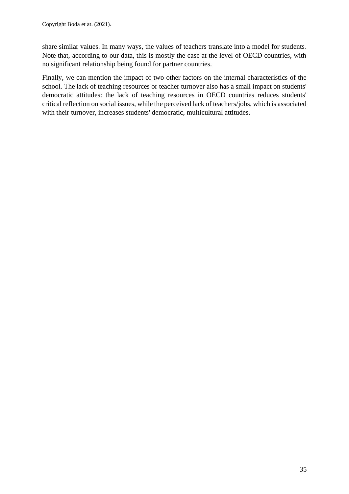share similar values. In many ways, the values of teachers translate into a model for students. Note that, according to our data, this is mostly the case at the level of OECD countries, with no significant relationship being found for partner countries.

Finally, we can mention the impact of two other factors on the internal characteristics of the school. The lack of teaching resources or teacher turnover also has a small impact on students' democratic attitudes: the lack of teaching resources in OECD countries reduces students' critical reflection on social issues, while the perceived lack of teachers/jobs, which is associated with their turnover, increases students' democratic, multicultural attitudes.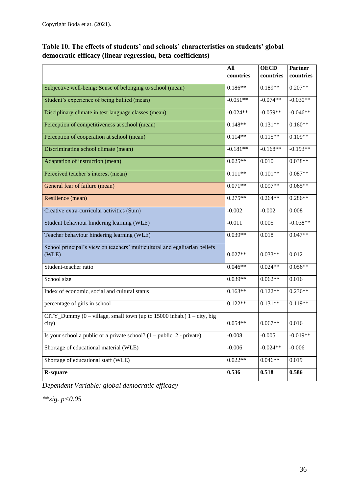|  |                                                            | Table 10. The effects of students' and schools' characteristics on students' global |  |
|--|------------------------------------------------------------|-------------------------------------------------------------------------------------|--|
|  | democratic efficacy (linear regression, beta-coefficients) |                                                                                     |  |

|                                                                                                                | All        | <b>OECD</b> | <b>Partner</b> |
|----------------------------------------------------------------------------------------------------------------|------------|-------------|----------------|
|                                                                                                                | countries  | countries   | countries      |
| Subjective well-being: Sense of belonging to school (mean)                                                     | $0.186**$  | $0.189**$   | $0.207**$      |
| Student's experience of being bullied (mean)                                                                   | $-0.051**$ | $-0.074**$  | $-0.030**$     |
| Disciplinary climate in test language classes (mean)                                                           | $-0.024**$ | $-0.059**$  | $-0.046**$     |
| Perception of competitiveness at school (mean)                                                                 | $0.148**$  | $0.131**$   | $0.160**$      |
| Perception of cooperation at school (mean)                                                                     | $0.114**$  | $0.115**$   | $0.109**$      |
| Discriminating school climate (mean)                                                                           | $-0.181**$ | $-0.168**$  | $-0.193**$     |
| Adaptation of instruction (mean)                                                                               | $0.025**$  | 0.010       | $0.038**$      |
| Perceived teacher's interest (mean)                                                                            | $0.111**$  | $0.101**$   | $0.087**$      |
| General fear of failure (mean)                                                                                 | $0.071**$  | $0.097**$   | $0.065**$      |
| Resilience (mean)                                                                                              | $0.275**$  | $0.264**$   | $0.286**$      |
| Creative extra-curricular activities (Sum)                                                                     | $-0.002$   | $-0.002$    | 0.008          |
| Student behaviour hindering learning (WLE)                                                                     | $-0.011$   | 0.005       | $-0.038**$     |
| Teacher behaviour hindering learning (WLE)                                                                     | $0.039**$  | 0.018       | $0.047**$      |
| School principal's view on teachers' multicultural and egalitarian beliefs<br>(WLE)                            | $0.027**$  | $0.033**$   | 0.012          |
| Student-teacher ratio                                                                                          | $0.046**$  | $0.024**$   | $0.056**$      |
| School size                                                                                                    | $0.039**$  | $0.062**$   | 0.016          |
| Index of economic, social and cultural status                                                                  | $0.163**$  | $0.122**$   | $0.236**$      |
| percentage of girls in school                                                                                  | $0.122**$  | $0.131**$   | $0.119**$      |
| CITY_Dummy $(0 - \text{village}, \text{small town (up to 15000 inhab.) } 1 - \text{city}, \text{big}$<br>city) | $0.054**$  | $0.067**$   | 0.016          |
| Is your school a public or a private school? $(1 - \text{public } 2 - \text{private})$                         | $-0.008$   | $-0.005$    | $-0.019**$     |
| Shortage of educational material (WLE)                                                                         | $-0.006$   | $-0.024**$  | $-0.006$       |
| Shortage of educational staff (WLE)                                                                            | $0.022**$  | $0.046**$   | 0.019          |
| <b>R-square</b>                                                                                                | 0.536      | 0.518       | 0.586          |

*Dependent Variable: global democratic efficacy*

*\*\*sig. p<0.05*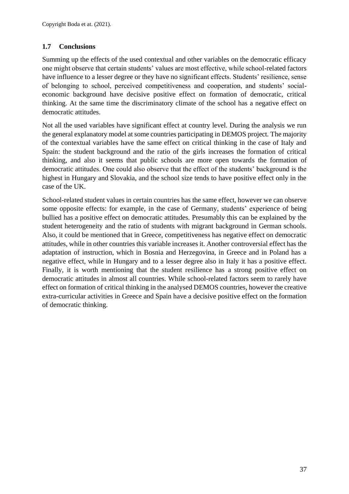## <span id="page-36-0"></span>**1.7 Conclusions**

Summing up the effects of the used contextual and other variables on the democratic efficacy one might observe that certain students' values are most effective, while school-related factors have influence to a lesser degree or they have no significant effects. Students' resilience, sense of belonging to school, perceived competitiveness and cooperation, and students' socialeconomic background have decisive positive effect on formation of democratic, critical thinking. At the same time the discriminatory climate of the school has a negative effect on democratic attitudes.

Not all the used variables have significant effect at country level. During the analysis we run the general explanatory model at some countries participating in DEMOS project. The majority of the contextual variables have the same effect on critical thinking in the case of Italy and Spain: the student background and the ratio of the girls increases the formation of critical thinking, and also it seems that public schools are more open towards the formation of democratic attitudes. One could also observe that the effect of the students' background is the highest in Hungary and Slovakia, and the school size tends to have positive effect only in the case of the UK.

School-related student values in certain countries has the same effect, however we can observe some opposite effects: for example, in the case of Germany, students' experience of being bullied has a positive effect on democratic attitudes. Presumably this can be explained by the student heterogeneity and the ratio of students with migrant background in German schools. Also, it could be mentioned that in Greece, competitiveness has negative effect on democratic attitudes, while in other countries this variable increases it. Another controversial effect has the adaptation of instruction, which in Bosnia and Herzegovina, in Greece and in Poland has a negative effect, while in Hungary and to a lesser degree also in Italy it has a positive effect. Finally, it is worth mentioning that the student resilience has a strong positive effect on democratic attitudes in almost all countries. While school-related factors seem to rarely have effect on formation of critical thinking in the analysed DEMOS countries, however the creative extra-curricular activities in Greece and Spain have a decisive positive effect on the formation of democratic thinking.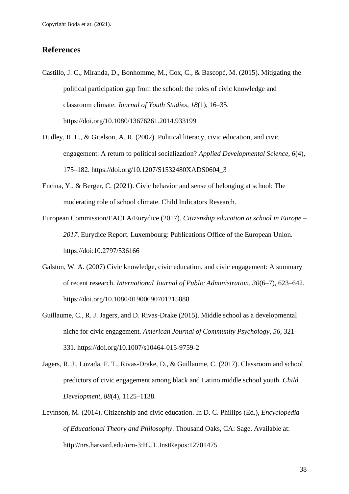#### <span id="page-37-0"></span>**References**

- Castillo, J. C., Miranda, D., Bonhomme, M., Cox, C., & Bascopé, M. (2015). Mitigating the political participation gap from the school: the roles of civic knowledge and classroom climate. *Journal of Youth Studies, 18*(1), 16–35. https://doi.org/10.1080/13676261.2014.933199
- Dudley, R. L., & Gitelson, A. R. (2002). Political literacy, civic education, and civic engagement: A return to political socialization? *Applied Developmental Science, 6*(4), 175–182. https://doi.org/10.1207/S1532480XADS0604\_3
- Encina, Y., & Berger, C. (2021). Civic behavior and sense of belonging at school: The moderating role of school climate. Child Indicators Research.
- European Commission/EACEA/Eurydice (2017). *Citizenship education at school in Europe – 2017*. Eurydice Report. Luxembourg: Publications Office of the European Union. https://doi:10.2797/536166
- Galston, W. A. (2007) Civic knowledge, civic education, and civic engagement: A summary of recent research. *International Journal of Public Administration*, *30*(6–7), 623–642. https://doi.org/10.1080/01900690701215888
- Guillaume, C., R. J. Jagers, and D. Rivas-Drake (2015). Middle school as a developmental niche for civic engagement. *American Journal of Community Psychology, 56*, 321– 331. https://doi.org/10.1007/s10464-015-9759-2
- Jagers, R. J., Lozada, F. T., Rivas-Drake, D., & Guillaume, C. (2017). Classroom and school predictors of civic engagement among black and Latino middle school youth. *Child Development*, *88*(4), 1125–1138.
- Levinson, M. (2014). Citizenship and civic education. In D. C. Phillips (Ed.), *Encyclopedia of Educational Theory and Philosophy*. Thousand Oaks, CA: Sage. Available at: http://nrs.harvard.edu/urn-3:HUL.InstRepos:12701475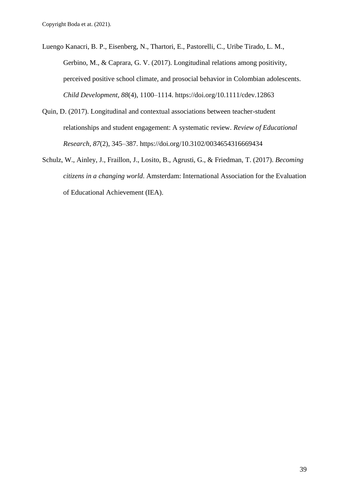- Luengo Kanacri, B. P., Eisenberg, N., Thartori, E., Pastorelli, C., Uribe Tirado, L. M., Gerbino, M., & Caprara, G. V. (2017). Longitudinal relations among positivity, perceived positive school climate, and prosocial behavior in Colombian adolescents. *Child Development, 88*(4), 1100–1114. https://doi.org/10.1111/cdev.12863
- Quin, D. (2017). Longitudinal and contextual associations between teacher-student relationships and student engagement: A systematic review. *Review of Educational Research*, *87*(2), 345–387. https://doi.org/10.3102/0034654316669434
- Schulz, W., Ainley, J., Fraillon, J., Losito, B., Agrusti, G., & Friedman, T. (2017). *Becoming citizens in a changing world*. Amsterdam: International Association for the Evaluation of Educational Achievement (IEA).